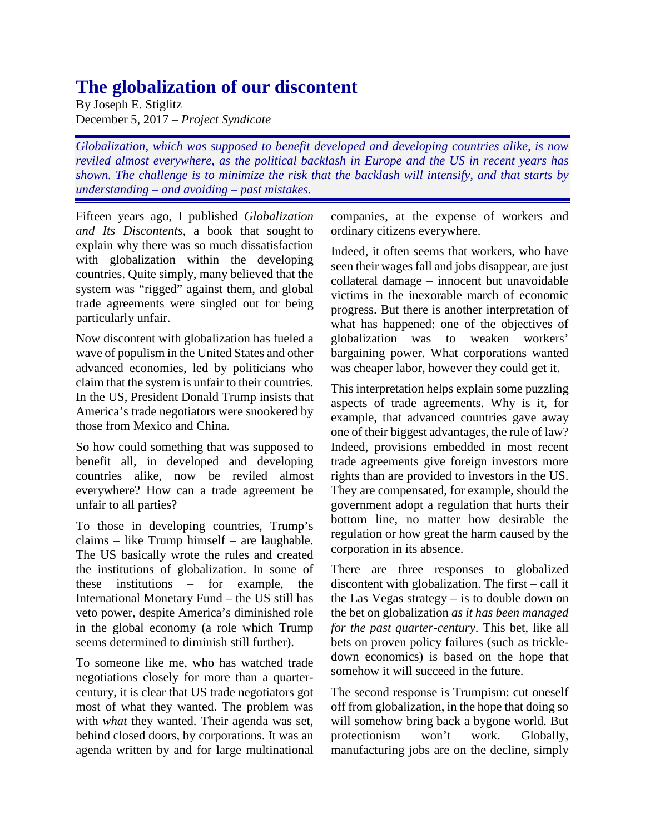## **The globalization of our discontent**

By [Joseph E. Stiglitz](https://www.project-syndicate.org/columnist/joseph-e--stiglitz) December 5, 2017 – *Project Syndicate*

*Globalization, which was supposed to benefit developed and developing countries alike, is now reviled almost everywhere, as the political backlash in Europe and the US in recent years has shown. The challenge is to minimize the risk that the backlash will intensify, and that starts by understanding – and avoiding – past mistakes.*

Fifteen years ago, I published *Globalization and Its Discontents,* a book that sought to explain why there was so much dissatisfaction with globalization within the developing countries. Quite simply, many believed that the system was "rigged" against them, and global trade agreements were singled out for being particularly unfair.

Now discontent with globalization has fueled a wave of populism in the United States and other advanced economies, led by politicians who claim that the system is unfair to their countries. In the US, President Donald Trump insists that America's trade negotiators were snookered by those from Mexico and China.

So how could something that was supposed to benefit all, in developed and developing countries alike, now be reviled almost everywhere? How can a trade agreement be unfair to all parties?

To those in developing countries, Trump's claims – like Trump himself – are laughable. The US basically wrote the rules and created the institutions of globalization. In some of these institutions – for example, the International Monetary Fund – the US still has veto power, despite America's diminished role in the global economy (a role which Trump seems determined to diminish still further).

To someone like me, who has watched trade negotiations closely for more than a quartercentury, it is clear that US trade negotiators got most of what they wanted. The problem was with *what* they wanted. Their agenda was set, behind closed doors, by corporations. It was an agenda written by and for large multinational

companies, at the expense of workers and ordinary citizens everywhere.

Indeed, it often seems that workers, who have seen their wages fall and jobs disappear, are just collateral damage – innocent but unavoidable victims in the inexorable march of economic progress. But there is another interpretation of what has happened: one of the objectives of globalization was to weaken workers' bargaining power. What corporations wanted was cheaper labor, however they could get it.

This interpretation helps explain some puzzling aspects of trade agreements. Why is it, for example, that advanced countries gave away one of their biggest advantages, the rule of law? Indeed, provisions embedded in most recent trade agreements give foreign investors more rights than are provided to investors in the US. They are compensated, for example, should the government adopt a regulation that hurts their bottom line, no matter how desirable the regulation or how great the harm caused by the corporation in its absence.

There are three responses to globalized discontent with globalization. The first – call it the Las Vegas strategy – is to double down on the bet on globalization *as it has been managed for the past quarter-century*. This bet, like all bets on proven policy failures (such as trickledown economics) is based on the hope that somehow it will succeed in the future.

The second response is Trumpism: cut oneself off from globalization, in the hope that doing so will somehow bring back a bygone world. But protectionism won't work. Globally, manufacturing jobs are on the decline, simply